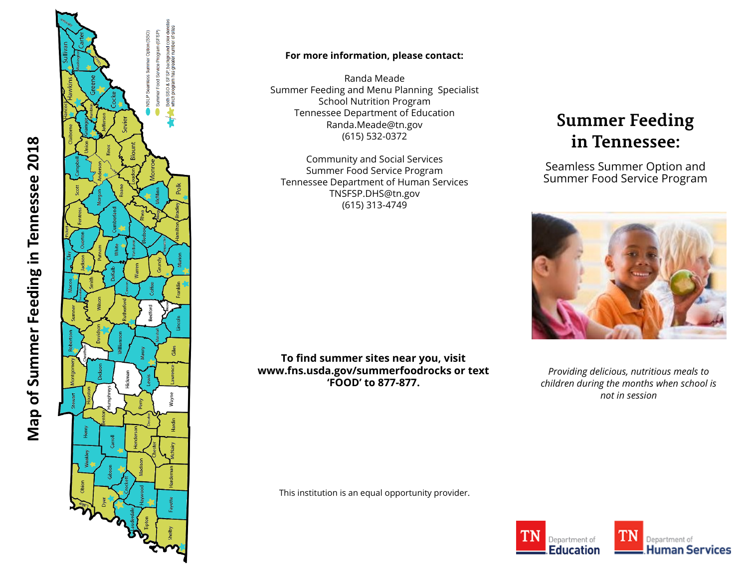

Map of Summer Feeding in Tennessee 2018

#### **For more information, please contact:**

Randa Meade Summer Feeding and Menu Planning Specialist School Nutrition Program Tennessee Department of Education Randa.Meade@tn.gov (615) 532 -0372

Community and Social Services Summer Food Service Program Tennessee Department of Human Services TNSFSP.DHS@tn.gov (615) 313 -4749

# **Summer Feeding** in Tennessee:

Seamless Summer Option and Summer Food Service Program



**To find summer sites near you, visit www.fns.usda.gov/summerfoodrocks or text 'FOOD' to 877-877.**

This institution is an equal opportunity provider.

*Providing delicious, nutritious meals to children during the months when school is not in session*